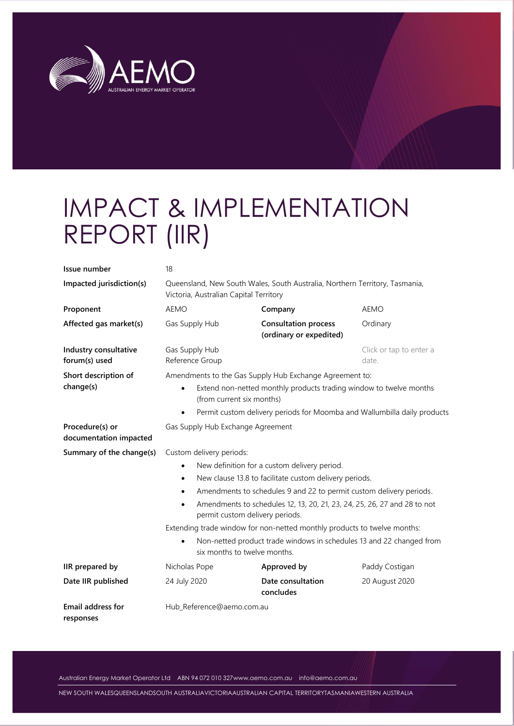

# IMPACT & IMPLEMENTATION REPORT (IIR)

| Issue number                              | 18                                                                                                                       |                                                        |                                  |  |
|-------------------------------------------|--------------------------------------------------------------------------------------------------------------------------|--------------------------------------------------------|----------------------------------|--|
| Impacted jurisdiction(s)                  | Queensland, New South Wales, South Australia, Northern Territory, Tasmania,<br>Victoria, Australian Capital Territory    |                                                        |                                  |  |
| Proponent                                 | <b>AEMO</b>                                                                                                              | Company                                                | <b>AEMO</b>                      |  |
| Affected gas market(s)                    | Gas Supply Hub                                                                                                           | <b>Consultation process</b><br>(ordinary or expedited) | Ordinary                         |  |
| Industry consultative<br>forum(s) used    | Gas Supply Hub<br>Reference Group                                                                                        |                                                        | Click or tap to enter a<br>date. |  |
| Short description of                      | Amendments to the Gas Supply Hub Exchange Agreement to:                                                                  |                                                        |                                  |  |
| change(s)                                 | Extend non-netted monthly products trading window to twelve months<br>$\bullet$<br>(from current six months)             |                                                        |                                  |  |
|                                           | Permit custom delivery periods for Moomba and Wallumbilla daily products<br>$\bullet$                                    |                                                        |                                  |  |
| Procedure(s) or<br>documentation impacted | Gas Supply Hub Exchange Agreement                                                                                        |                                                        |                                  |  |
| Summary of the change(s)                  | Custom delivery periods:                                                                                                 |                                                        |                                  |  |
|                                           | New definition for a custom delivery period.<br>$\bullet$                                                                |                                                        |                                  |  |
|                                           | New clause 13.8 to facilitate custom delivery periods.<br>$\bullet$                                                      |                                                        |                                  |  |
|                                           | Amendments to schedules 9 and 22 to permit custom delivery periods.<br>$\bullet$                                         |                                                        |                                  |  |
|                                           | Amendments to schedules 12, 13, 20, 21, 23, 24, 25, 26, 27 and 28 to not<br>$\bullet$<br>permit custom delivery periods. |                                                        |                                  |  |
|                                           | Extending trade window for non-netted monthly products to twelve months:                                                 |                                                        |                                  |  |
|                                           | Non-netted product trade windows in schedules 13 and 22 changed from<br>$\bullet$<br>six months to twelve months.        |                                                        |                                  |  |
| IIR prepared by                           | Nicholas Pope                                                                                                            | Approved by                                            | Paddy Costigan                   |  |
| Date IIR published                        | 24 July 2020                                                                                                             | Date consultation<br>concludes                         | 20 August 2020                   |  |
| Email address for<br>responses            | Hub_Reference@aemo.com.au                                                                                                |                                                        |                                  |  |

Australian Energy Market Operator Ltd ABN 94 072 010 32[7www.aemo.com.au](http://www.aemo.com.au/) [info@aemo.com.au](mailto:info@aemo.com.au)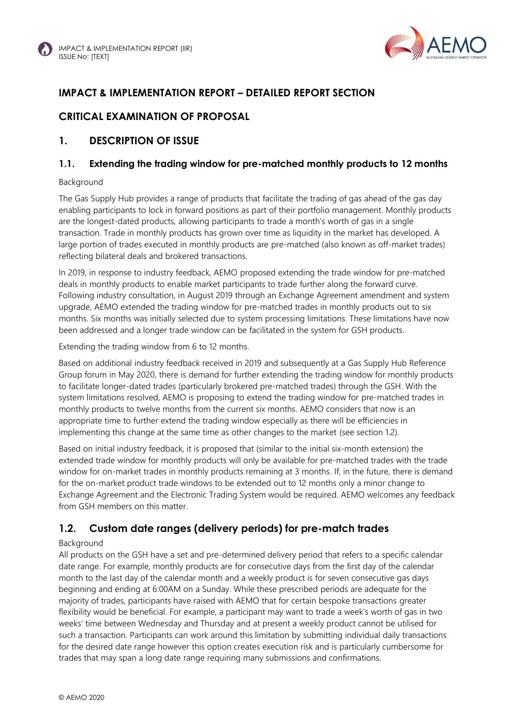

## **IMPACT & IMPLEMENTATION REPORT – DETAILED REPORT SECTION**

## **CRITICAL EXAMINATION OF PROPOSAL**

#### **1. DESCRIPTION OF ISSUE**

#### **1.1. Extending the trading window for pre-matched monthly products to 12 months**

#### Background

The Gas Supply Hub provides a range of products that facilitate the trading of gas ahead of the gas day enabling participants to lock in forward positions as part of their portfolio management. Monthly products are the longest-dated products, allowing participants to trade a month's worth of gas in a single transaction. Trade in monthly products has grown over time as liquidity in the market has developed. A large portion of trades executed in monthly products are pre-matched (also known as off-market trades) reflecting bilateral deals and brokered transactions.

In 2019, in response to industry feedback, AEMO proposed extending the trade window for pre-matched deals in monthly products to enable market participants to trade further along the forward curve. Following industry consultation, in August 2019 through an Exchange Agreement amendment and system upgrade, AEMO extended the trading window for pre-matched trades in monthly products out to six months. Six months was initially selected due to system processing limitations. These limitations have now been addressed and a longer trade window can be facilitated in the system for GSH products.

Extending the trading window from 6 to 12 months.

Based on additional industry feedback received in 2019 and subsequently at a Gas Supply Hub Reference Group forum in May 2020, there is demand for further extending the trading window for monthly products to facilitate longer-dated trades (particularly brokered pre-matched trades) through the GSH. With the system limitations resolved, AEMO is proposing to extend the trading window for pre-matched trades in monthly products to twelve months from the current six months. AEMO considers that now is an appropriate time to further extend the trading window especially as there will be efficiencies in implementing this change at the same time as other changes to the market (see section 1.2).

Based on initial industry feedback, it is proposed that (similar to the initial six-month extension) the extended trade window for monthly products will only be available for pre-matched trades with the trade window for on-market trades in monthly products remaining at 3 months. If, in the future, there is demand for the on-market product trade windows to be extended out to 12 months only a minor change to Exchange Agreement and the Electronic Trading System would be required. AEMO welcomes any feedback from GSH members on this matter.

# **1.2. Custom date ranges (delivery periods) for pre-match trades**

#### Background

All products on the GSH have a set and pre-determined delivery period that refers to a specific calendar date range. For example, monthly products are for consecutive days from the first day of the calendar month to the last day of the calendar month and a weekly product is for seven consecutive gas days beginning and ending at 6:00AM on a Sunday. While these prescribed periods are adequate for the majority of trades, participants have raised with AEMO that for certain bespoke transactions greater flexibility would be beneficial. For example, a participant may want to trade a week's worth of gas in two weeks' time between Wednesday and Thursday and at present a weekly product cannot be utilised for such a transaction. Participants can work around this limitation by submitting individual daily transactions for the desired date range however this option creates execution risk and is particularly cumbersome for trades that may span a long date range requiring many submissions and confirmations.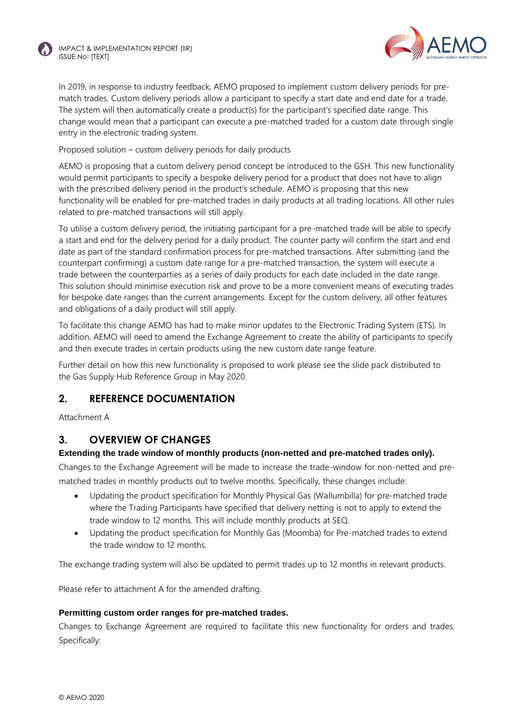

In 2019, in response to industry feedback, AEMO proposed to implement custom delivery periods for prematch trades. Custom delivery periods allow a participant to specify a start date and end date for a trade. The system will then automatically create a product(s) for the participant's specified date range. This change would mean that a participant can execute a pre-matched traded for a custom date through single entry in the electronic trading system.

Proposed solution – custom delivery periods for daily products

AEMO is proposing that a custom delivery period concept be introduced to the GSH. This new functionality would permit participants to specify a bespoke delivery period for a product that does not have to align with the prescribed delivery period in the product's schedule. AEMO is proposing that this new functionality will be enabled for pre-matched trades in daily products at all trading locations. All other rules related to pre-matched transactions will still apply.

To utilise a custom delivery period, the initiating participant for a pre-matched trade will be able to specify a start and end for the delivery period for a daily product. The counter party will confirm the start and end date as part of the standard confirmation process for pre-matched transactions. After submitting (and the counterpart confirming) a custom date range for a pre-matched transaction, the system will execute a trade between the counterparties as a series of daily products for each date included in the date range. This solution should minimise execution risk and prove to be a more convenient means of executing trades for bespoke date ranges than the current arrangements. Except for the custom delivery, all other features and obligations of a daily product will still apply.

To facilitate this change AEMO has had to make minor updates to the Electronic Trading System (ETS). In addition, AEMO will need to amend the Exchange Agreement to create the ability of participants to specify and then execute trades in certain products using the new custom date range feature.

Further detail on how this new functionality is proposed to work please see the slide pack distributed to the Gas Supply Hub Reference Group in May 2020.

#### **2. REFERENCE DOCUMENTATION**

Attachment A

#### **3. OVERVIEW OF CHANGES**

#### **Extending the trade window of monthly products (non-netted and pre-matched trades only).**

Changes to the Exchange Agreement will be made to increase the trade-window for non-netted and prematched trades in monthly products out to twelve months. Specifically, these changes include:

- Updating the product specification for Monthly Physical Gas (Wallumbilla) for pre-matched trade where the Trading Participants have specified that delivery netting is not to apply to extend the trade window to 12 months. This will include monthly products at SEQ.
- Updating the product specification for Monthly Gas (Moomba) for Pre-matched trades to extend the trade window to 12 months.

The exchange trading system will also be updated to permit trades up to 12 months in relevant products.

Please refer to attachment A for the amended drafting.

#### **Permitting custom order ranges for pre-matched trades.**

Changes to Exchange Agreement are required to facilitate this new functionality for orders and trades. Specifically: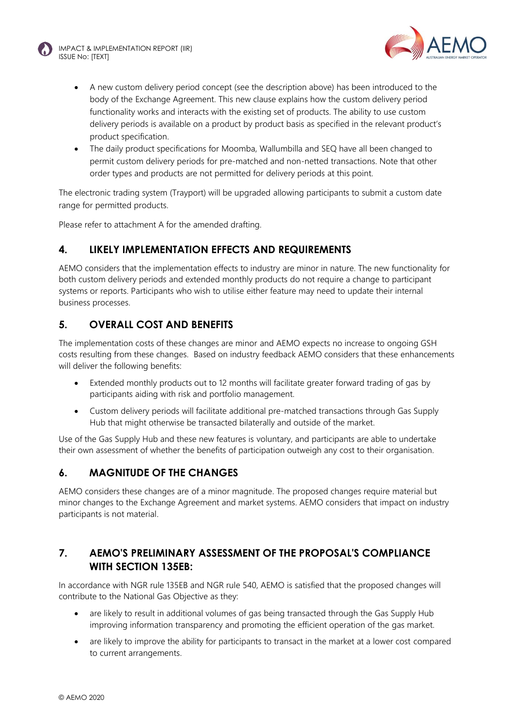



- A new custom delivery period concept (see the description above) has been introduced to the body of the Exchange Agreement. This new clause explains how the custom delivery period functionality works and interacts with the existing set of products. The ability to use custom delivery periods is available on a product by product basis as specified in the relevant product's product specification.
- The daily product specifications for Moomba, Wallumbilla and SEQ have all been changed to permit custom delivery periods for pre-matched and non-netted transactions. Note that other order types and products are not permitted for delivery periods at this point.

The electronic trading system (Trayport) will be upgraded allowing participants to submit a custom date range for permitted products.

Please refer to attachment A for the amended drafting.

#### **4. LIKELY IMPLEMENTATION EFFECTS AND REQUIREMENTS**

AEMO considers that the implementation effects to industry are minor in nature. The new functionality for both custom delivery periods and extended monthly products do not require a change to participant systems or reports. Participants who wish to utilise either feature may need to update their internal business processes.

## **5. OVERALL COST AND BENEFITS**

The implementation costs of these changes are minor and AEMO expects no increase to ongoing GSH costs resulting from these changes. Based on industry feedback AEMO considers that these enhancements will deliver the following benefits:

- Extended monthly products out to 12 months will facilitate greater forward trading of gas by participants aiding with risk and portfolio management.
- Custom delivery periods will facilitate additional pre-matched transactions through Gas Supply Hub that might otherwise be transacted bilaterally and outside of the market.

Use of the Gas Supply Hub and these new features is voluntary, and participants are able to undertake their own assessment of whether the benefits of participation outweigh any cost to their organisation.

#### **6. MAGNITUDE OF THE CHANGES**

AEMO considers these changes are of a minor magnitude. The proposed changes require material but minor changes to the Exchange Agreement and market systems. AEMO considers that impact on industry participants is not material.

## **7. AEMO'S PRELIMINARY ASSESSMENT OF THE PROPOSAL'S COMPLIANCE WITH SECTION 135EB:**

In accordance with NGR rule 135EB and NGR rule 540, AEMO is satisfied that the proposed changes will contribute to the National Gas Objective as they:

- are likely to result in additional volumes of gas being transacted through the Gas Supply Hub improving information transparency and promoting the efficient operation of the gas market.
- are likely to improve the ability for participants to transact in the market at a lower cost compared to current arrangements.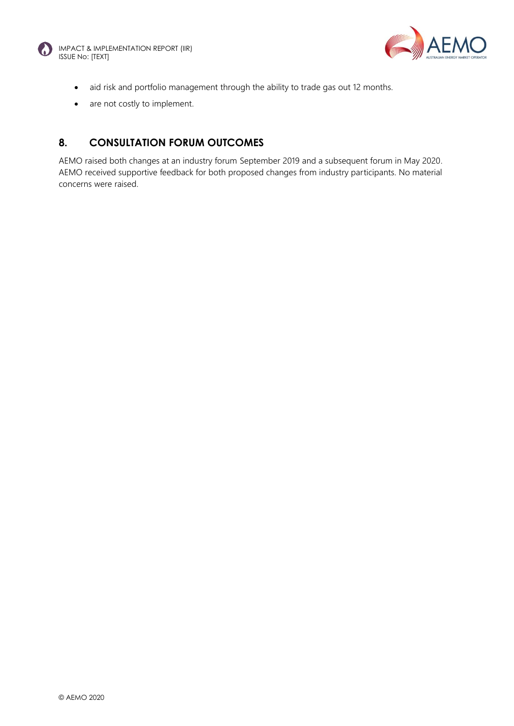



- aid risk and portfolio management through the ability to trade gas out 12 months.
- are not costly to implement.

# **8. CONSULTATION FORUM OUTCOMES**

AEMO raised both changes at an industry forum September 2019 and a subsequent forum in May 2020. AEMO received supportive feedback for both proposed changes from industry participants. No material concerns were raised.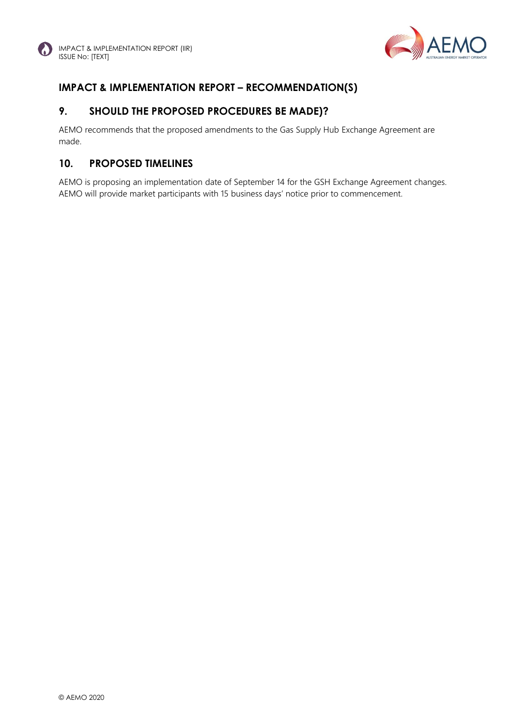

# **IMPACT & IMPLEMENTATION REPORT – RECOMMENDATION(S)**

## **9. SHOULD THE PROPOSED PROCEDURES BE MADE)?**

AEMO recommends that the proposed amendments to the Gas Supply Hub Exchange Agreement are made.

#### **10. PROPOSED TIMELINES**

AEMO is proposing an implementation date of September 14 for the GSH Exchange Agreement changes. AEMO will provide market participants with 15 business days' notice prior to commencement.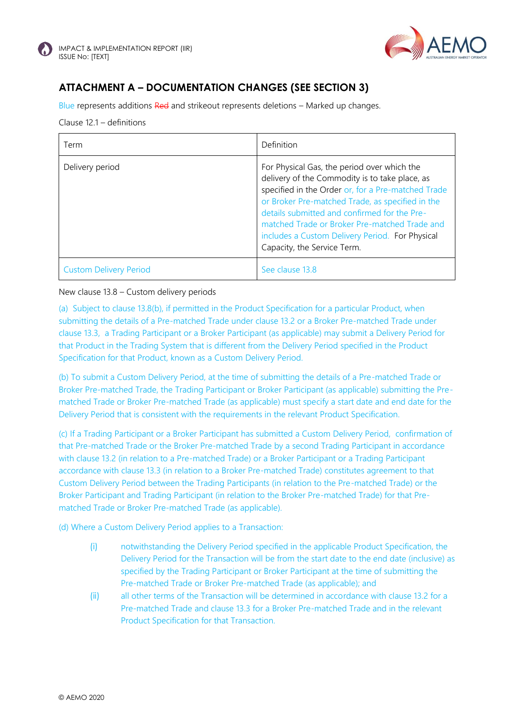



# **ATTACHMENT A – DOCUMENTATION CHANGES (SEE SECTION 3)**

Blue represents additions Red and strikeout represents deletions – Marked up changes.

#### Clause 12.1 – definitions

| Term                          | Definition                                                                                                                                                                                                                                                                                                                                                                                 |
|-------------------------------|--------------------------------------------------------------------------------------------------------------------------------------------------------------------------------------------------------------------------------------------------------------------------------------------------------------------------------------------------------------------------------------------|
| Delivery period               | For Physical Gas, the period over which the<br>delivery of the Commodity is to take place, as<br>specified in the Order or, for a Pre-matched Trade<br>or Broker Pre-matched Trade, as specified in the<br>details submitted and confirmed for the Pre-<br>matched Trade or Broker Pre-matched Trade and<br>includes a Custom Delivery Period. For Physical<br>Capacity, the Service Term. |
| <b>Custom Delivery Period</b> | See clause 13.8                                                                                                                                                                                                                                                                                                                                                                            |

#### New clause 13.8 – Custom delivery periods

(a) Subject to clause 13.8(b), if permitted in the Product Specification for a particular Product, when submitting the details of a Pre-matched Trade under clause 13.2 or a Broker Pre-matched Trade under clause 13.3, a Trading Participant or a Broker Participant (as applicable) may submit a Delivery Period for that Product in the Trading System that is different from the Delivery Period specified in the Product Specification for that Product, known as a Custom Delivery Period.

(b) To submit a Custom Delivery Period, at the time of submitting the details of a Pre-matched Trade or Broker Pre-matched Trade, the Trading Participant or Broker Participant (as applicable) submitting the Prematched Trade or Broker Pre-matched Trade (as applicable) must specify a start date and end date for the Delivery Period that is consistent with the requirements in the relevant Product Specification.

(c) If a Trading Participant or a Broker Participant has submitted a Custom Delivery Period, confirmation of that Pre-matched Trade or the Broker Pre-matched Trade by a second Trading Participant in accordance with clause 13.2 (in relation to a Pre-matched Trade) or a Broker Participant or a Trading Participant accordance with clause 13.3 (in relation to a Broker Pre-matched Trade) constitutes agreement to that Custom Delivery Period between the Trading Participants (in relation to the Pre-matched Trade) or the Broker Participant and Trading Participant (in relation to the Broker Pre-matched Trade) for that Prematched Trade or Broker Pre-matched Trade (as applicable).

(d) Where a Custom Delivery Period applies to a Transaction:

- (i) notwithstanding the Delivery Period specified in the applicable Product Specification, the Delivery Period for the Transaction will be from the start date to the end date (inclusive) as specified by the Trading Participant or Broker Participant at the time of submitting the Pre-matched Trade or Broker Pre-matched Trade (as applicable); and
- (ii) all other terms of the Transaction will be determined in accordance with clause 13.2 for a Pre-matched Trade and clause 13.3 for a Broker Pre-matched Trade and in the relevant Product Specification for that Transaction.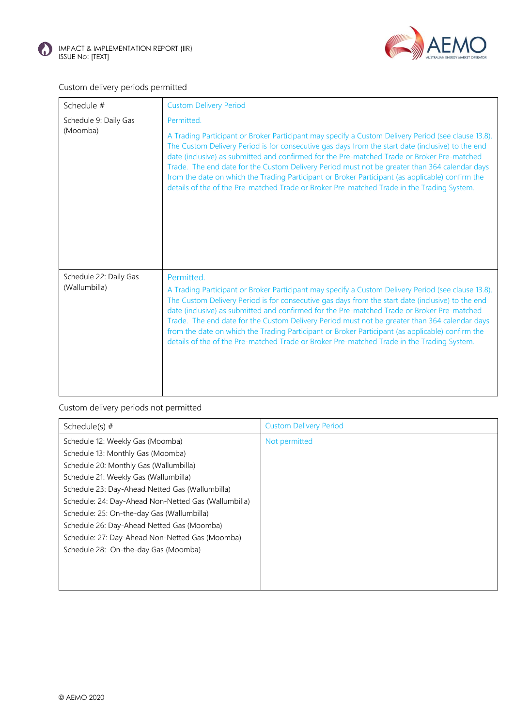



## Custom delivery periods permitted

| Schedule #                              | <b>Custom Delivery Period</b>                                                                                                                                                                                                                                                                                                                                                                                                                                                                                                                                                                                            |
|-----------------------------------------|--------------------------------------------------------------------------------------------------------------------------------------------------------------------------------------------------------------------------------------------------------------------------------------------------------------------------------------------------------------------------------------------------------------------------------------------------------------------------------------------------------------------------------------------------------------------------------------------------------------------------|
| Schedule 9: Daily Gas<br>(Moomba)       | Permitted.<br>A Trading Participant or Broker Participant may specify a Custom Delivery Period (see clause 13.8).<br>The Custom Delivery Period is for consecutive gas days from the start date (inclusive) to the end<br>date (inclusive) as submitted and confirmed for the Pre-matched Trade or Broker Pre-matched<br>Trade. The end date for the Custom Delivery Period must not be greater than 364 calendar days<br>from the date on which the Trading Participant or Broker Participant (as applicable) confirm the<br>details of the of the Pre-matched Trade or Broker Pre-matched Trade in the Trading System. |
| Schedule 22: Daily Gas<br>(Wallumbilla) | Permitted.<br>A Trading Participant or Broker Participant may specify a Custom Delivery Period (see clause 13.8).<br>The Custom Delivery Period is for consecutive gas days from the start date (inclusive) to the end<br>date (inclusive) as submitted and confirmed for the Pre-matched Trade or Broker Pre-matched<br>Trade. The end date for the Custom Delivery Period must not be greater than 364 calendar days<br>from the date on which the Trading Participant or Broker Participant (as applicable) confirm the<br>details of the of the Pre-matched Trade or Broker Pre-matched Trade in the Trading System. |

Custom delivery periods not permitted

| Schedule(s) $#$                                      | <b>Custom Delivery Period</b> |
|------------------------------------------------------|-------------------------------|
| Schedule 12: Weekly Gas (Moomba)                     | Not permitted                 |
| Schedule 13: Monthly Gas (Moomba)                    |                               |
| Schedule 20: Monthly Gas (Wallumbilla)               |                               |
| Schedule 21: Weekly Gas (Wallumbilla)                |                               |
| Schedule 23: Day-Ahead Netted Gas (Wallumbilla)      |                               |
| Schedule: 24: Day-Ahead Non-Netted Gas (Wallumbilla) |                               |
| Schedule: 25: On-the-day Gas (Wallumbilla)           |                               |
| Schedule 26: Day-Ahead Netted Gas (Moomba)           |                               |
| Schedule: 27: Day-Ahead Non-Netted Gas (Moomba)      |                               |
| Schedule 28: On-the-day Gas (Moomba)                 |                               |
|                                                      |                               |
|                                                      |                               |
|                                                      |                               |